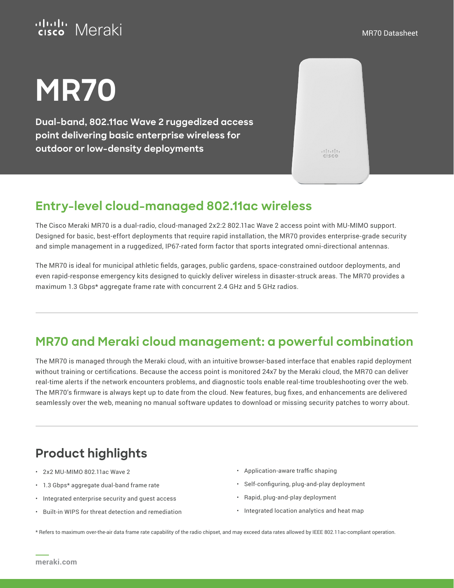## ululu Meraki

# **MR70**

**Dual-band, 802.11ac Wave 2 ruggedized access point delivering basic enterprise wireless for outdoor or low-density deployments**

 $\frac{1}{10}$ 

### **Entry-level cloud-managed 802.11ac wireless**

The Cisco Meraki MR70 is a dual-radio, cloud-managed 2x2:2 802.11ac Wave 2 access point with MU-MIMO support. Designed for basic, best-effort deployments that require rapid installation, the MR70 provides enterprise-grade security and simple management in a ruggedized, IP67-rated form factor that sports integrated omni-directional antennas.

The MR70 is ideal for municipal athletic fields, garages, public gardens, space-constrained outdoor deployments, and even rapid-response emergency kits designed to quickly deliver wireless in disaster-struck areas. The MR70 provides a maximum 1.3 Gbps\* aggregate frame rate with concurrent 2.4 GHz and 5 GHz radios.

### **MR70 and Meraki cloud management: a powerful combination**

The MR70 is managed through the Meraki cloud, with an intuitive browser-based interface that enables rapid deployment without training or certifications. Because the access point is monitored 24x7 by the Meraki cloud, the MR70 can deliver real-time alerts if the network encounters problems, and diagnostic tools enable real-time troubleshooting over the web. The MR70's firmware is always kept up to date from the cloud. New features, bug fixes, and enhancements are delivered seamlessly over the web, meaning no manual software updates to download or missing security patches to worry about.

## **Product highlights**

- 2x2 MU-MIMO 802.11ac Wave 2
- 1.3 Gbps\* aggregate dual-band frame rate
- Integrated enterprise security and guest access
- Built-in WIPS for threat detection and remediation
- Application-aware traffic shaping
- Self-configuring, plug-and-play deployment
- Rapid, plug-and-play deployment
- Integrated location analytics and heat map

\* Refers to maximum over-the-air data frame rate capability of the radio chipset, and may exceed data rates allowed by IEEE 802.11ac-compliant operation.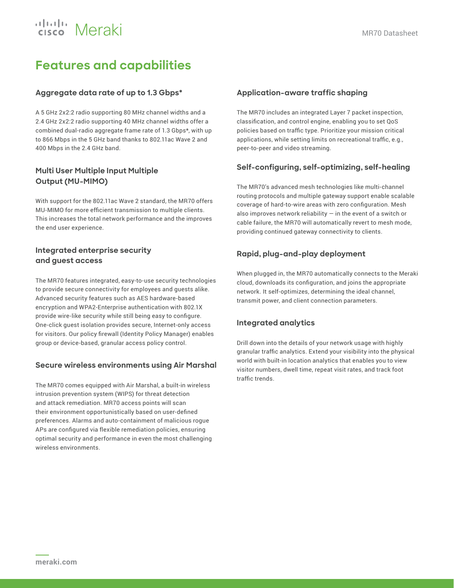## ululu Meraki

## **Features and capabilities**

#### **Aggregate data rate of up to 1.3 Gbps\***

A 5 GHz 2x2:2 radio supporting 80 MHz channel widths and a 2.4 GHz 2x2:2 radio supporting 40 MHz channel widths offer a combined dual-radio aggregate frame rate of 1.3 Gbps\*, with up to 866 Mbps in the 5 GHz band thanks to 802.11ac Wave 2 and 400 Mbps in the 2.4 GHz band.

#### **Multi User Multiple Input Multiple Output (MU-MIMO)**

With support for the 802.11ac Wave 2 standard, the MR70 offers MU-MIMO for more efficient transmission to multiple clients. This increases the total network performance and the improves the end user experience.

#### **Integrated enterprise security and guest access**

The MR70 features integrated, easy-to-use security technologies to provide secure connectivity for employees and guests alike. Advanced security features such as AES hardware-based encryption and WPA2-Enterprise authentication with 802.1X provide wire-like security while still being easy to configure. One-click guest isolation provides secure, Internet-only access for visitors. Our policy firewall (Identity Policy Manager) enables group or device-based, granular access policy control.

#### **Secure wireless environments using Air Marshal**

The MR70 comes equipped with Air Marshal, a built-in wireless intrusion prevention system (WIPS) for threat detection and attack remediation. MR70 access points will scan their environment opportunistically based on user-defined preferences. Alarms and auto-containment of malicious rogue APs are configured via flexible remediation policies, ensuring optimal security and performance in even the most challenging wireless environments.

#### **Application-aware traffic shaping**

The MR70 includes an integrated Layer 7 packet inspection, classification, and control engine, enabling you to set QoS policies based on traffic type. Prioritize your mission critical applications, while setting limits on recreational traffic, e.g., peer-to-peer and video streaming.

#### **Self-configuring, self-optimizing, self-healing**

The MR70's advanced mesh technologies like multi-channel routing protocols and multiple gateway support enable scalable coverage of hard-to-wire areas with zero configuration. Mesh also improves network reliability  $-$  in the event of a switch or cable failure, the MR70 will automatically revert to mesh mode, providing continued gateway connectivity to clients.

#### **Rapid, plug-and-play deployment**

When plugged in, the MR70 automatically connects to the Meraki cloud, downloads its configuration, and joins the appropriate network. It self-optimizes, determining the ideal channel, transmit power, and client connection parameters.

#### **Integrated analytics**

Drill down into the details of your network usage with highly granular traffic analytics. Extend your visibility into the physical world with built-in location analytics that enables you to view visitor numbers, dwell time, repeat visit rates, and track foot traffic trends.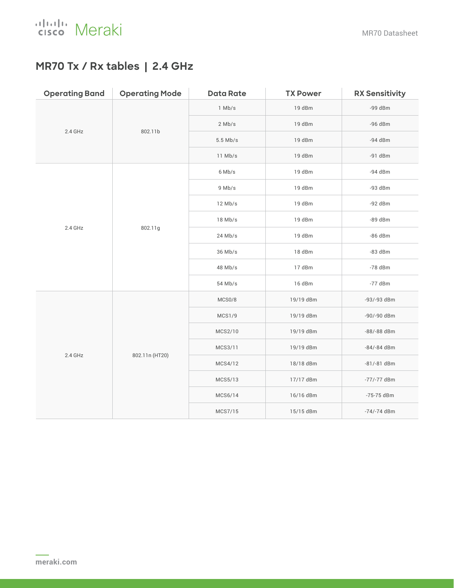### **MR70 Tx / Rx tables | 2.4 GHz**

| <b>Operating Band</b> | <b>Operating Mode</b> | <b>Data Rate</b> | <b>TX Power</b> | <b>RX Sensitivity</b> |
|-----------------------|-----------------------|------------------|-----------------|-----------------------|
| 2.4 GHz               | 802.11b               | $1$ Mb/s         | 19 dBm          | $-99$ dBm             |
|                       |                       | $2$ Mb/s         | 19 dBm          | -96 dBm               |
|                       |                       | $5.5$ Mb/s       | 19 dBm          | $-94$ dBm             |
|                       |                       | 11 Mb/s          | 19 dBm          | $-91$ dBm             |
| 2.4 GHz               | 802.11g               | 6 Mb/s           | 19 dBm          | -94 dBm               |
|                       |                       | 9 Mb/s           | 19 dBm          | $-93$ dBm             |
|                       |                       | $12$ Mb/s        | 19 dBm          | $-92$ dBm             |
|                       |                       | $18$ Mb/s        | 19 dBm          | $-89$ dBm             |
|                       |                       | $24$ Mb/s        | 19 dBm          | -86 dBm               |
|                       |                       | 36 Mb/s          | 18 dBm          | $-83$ dBm             |
|                       |                       | 48 Mb/s          | 17 dBm          | $-78$ dBm             |
|                       |                       | 54 Mb/s          | 16 dBm          | $-77$ dBm             |
| 2.4 GHz               | 802.11n (HT20)        | MCS0/8           | 19/19 dBm       | -93/-93 dBm           |
|                       |                       | <b>MCS1/9</b>    | 19/19 dBm       | -90/-90 dBm           |
|                       |                       | MCS2/10          | 19/19 dBm       | -88/-88 dBm           |
|                       |                       | MCS3/11          | 19/19 dBm       | $-84/-84$ dBm         |
|                       |                       | MCS4/12          | 18/18 dBm       | $-81/-81$ dBm         |
|                       |                       | MCS5/13          | 17/17 dBm       | $-77/-77$ dBm         |
|                       |                       | MCS6/14          | 16/16 dBm       | -75-75 dBm            |
|                       |                       | MCS7/15          | 15/15 dBm       | $-74/-74$ dBm         |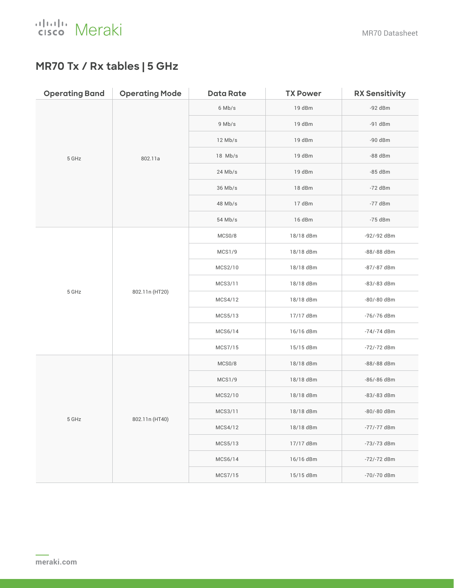

### **MR70 Tx / Rx tables | 5 GHz**

| <b>Operating Band</b> | <b>Operating Mode</b> | <b>Data Rate</b> | <b>TX Power</b> | <b>RX Sensitivity</b> |
|-----------------------|-----------------------|------------------|-----------------|-----------------------|
| 5 GHz                 | 802.11a               | $6$ Mb/s         | 19 dBm          | $-92$ dBm             |
|                       |                       | 9 Mb/s           | 19 dBm          | $-91$ dBm             |
|                       |                       | $12$ Mb/s        | 19 dBm          | $-90$ dBm             |
|                       |                       | 18 Mb/s          | 19 dBm          | -88 dBm               |
|                       |                       | $24$ Mb/s        | 19 dBm          | $-85$ dBm             |
|                       |                       | 36 Mb/s          | 18 dBm          | $-72$ dBm             |
|                       |                       | 48 Mb/s          | 17 dBm          | $-77$ dBm             |
|                       |                       | 54 Mb/s          | 16 dBm          | $-75$ dBm             |
| 5 GHz                 | 802.11n (HT20)        | MCS0/8           | 18/18 dBm       | -92/-92 dBm           |
|                       |                       | MCS1/9           | 18/18 dBm       | -88/-88 dBm           |
|                       |                       | MCS2/10          | 18/18 dBm       | -87/-87 dBm           |
|                       |                       | MCS3/11          | 18/18 dBm       | -83/-83 dBm           |
|                       |                       | MCS4/12          | 18/18 dBm       | -80/-80 dBm           |
|                       |                       | MCS5/13          | 17/17 dBm       | -76/-76 dBm           |
|                       |                       | MCS6/14          | 16/16 dBm       | -74/-74 dBm           |
|                       |                       | MCS7/15          | 15/15 dBm       | -72/-72 dBm           |
| 5 GHz                 | 802.11n (HT40)        | MCS0/8           | 18/18 dBm       | -88/-88 dBm           |
|                       |                       | MCS1/9           | 18/18 dBm       | -86/-86 dBm           |
|                       |                       | MCS2/10          | 18/18 dBm       | -83/-83 dBm           |
|                       |                       | MCS3/11          | 18/18 dBm       | -80/-80 dBm           |
|                       |                       | MCS4/12          | 18/18 dBm       | -77/-77 dBm           |
|                       |                       | MCS5/13          | 17/17 dBm       | -73/-73 dBm           |
|                       |                       | MCS6/14          | 16/16 dBm       | -72/-72 dBm           |
|                       |                       | MCS7/15          | 15/15 dBm       | -70/-70 dBm           |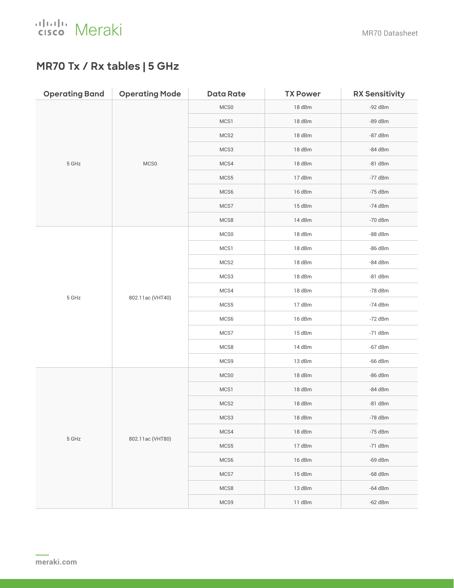

### **MR70 Tx / Rx tables | 5 GHz**

| <b>Operating Band</b> | <b>Operating Mode</b> | <b>Data Rate</b> | <b>TX Power</b> | <b>RX Sensitivity</b> |
|-----------------------|-----------------------|------------------|-----------------|-----------------------|
| 5 GHz                 | MCS0                  | MCS0             | 18 dBm          | -92 dBm               |
|                       |                       | MCS1             | 18 dBm          | -89 dBm               |
|                       |                       | MCS2             | 18 dBm          | -87 dBm               |
|                       |                       | MCS3             | 18 dBm          | -84 dBm               |
|                       |                       | MCS4             | 18 dBm          | $-81$ dBm             |
|                       |                       | MCS5             | 17 dBm          | $-77$ dBm             |
|                       |                       | MCS6             | 16 dBm          | $-75$ dBm             |
|                       |                       | MCS7             | 15 dBm          | $-74$ dBm             |
|                       |                       | MCS8             | 14 dBm          | -70 dBm               |
|                       | 802.11ac (VHT40)      | MCS0             | 18 dBm          | -88 dBm               |
|                       |                       | MCS1             | 18 dBm          | -86 dBm               |
|                       |                       | MCS2             | 18 dBm          | -84 dBm               |
|                       |                       | MCS3             | 18 dBm          | $-81$ dBm             |
|                       |                       | MCS4             | 18 dBm          | $-78$ dBm             |
| $5\,$ GHz             |                       | MCS5             | 17 dBm          | $-74$ dBm             |
|                       |                       | MCS6             | 16 dBm          | $-72$ dBm             |
|                       |                       | MCS7             | 15 dBm          | $-71$ dBm             |
|                       |                       | MCS8             | 14 dBm          | $-67$ dBm             |
|                       |                       | MCS9             | 13 dBm          | -66 dBm               |
| $5\,$ GHz             | 802.11ac (VHT80)      | MCS0             | 18 dBm          | $-86$ dBm             |
|                       |                       | MCS1             | 18 dBm          | -84 dBm               |
|                       |                       | MCS2             | 18 dBm          | $-81$ dBm             |
|                       |                       | MCS3             | 18 dBm          | -78 dBm               |
|                       |                       | MCS4             | 18 dBm          | $-75$ dBm             |
|                       |                       | MCS5             | 17 dBm          | $-71$ dBm             |
|                       |                       | MCS6             | 16 dBm          | $-69$ dBm             |
|                       |                       | MCS7             | 15 dBm          | $-68$ dBm             |
|                       |                       | MCS8             | 13 dBm          | $-64$ dBm             |
|                       |                       | MCS9             | 11 dBm          | $-62$ dBm             |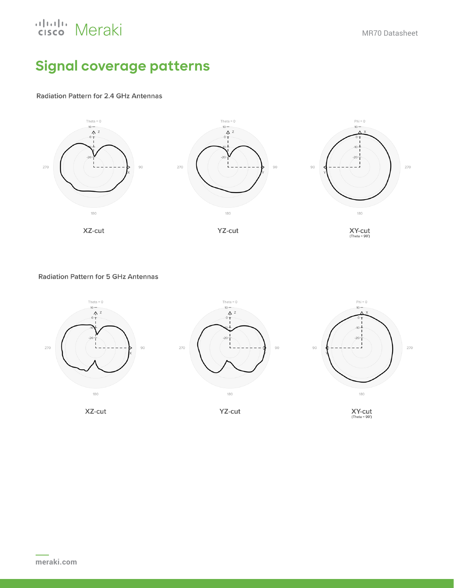## aludu Meraki

## **Signal coverage patterns**

**Radiation Pattern for 2.4 GHz Antennas** 



**Radiation Pattern for 5 GHz Antennas** 



XZ-cut

YZ-cut

 $XY-cut$ <br>(Theta = 90')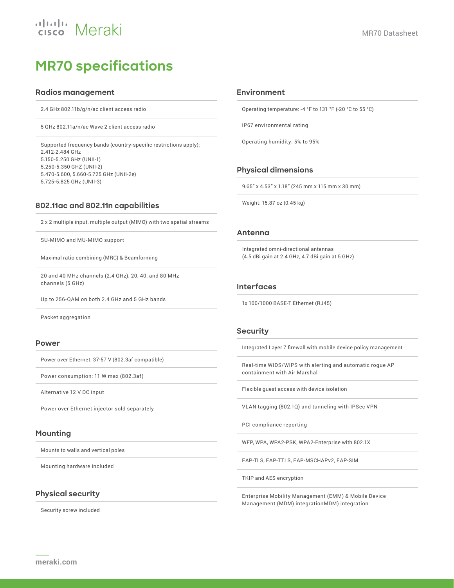## ululu Meraki

## **MR70 specifications**

#### **Radios management**

2.4 GHz 802.11b/g/n/ac client access radio

5 GHz 802.11a/n/ac Wave 2 client access radio

Supported frequency bands (country-specific restrictions apply): 2.412-2.484 GHz 5.150-5.250 GHz (UNII-1) 5.250-5.350 GHZ (UNII-2) 5.470-5.600, 5.660-5.725 GHz (UNII-2e) 5.725-5.825 GHz (UNII-3)

#### **802.11ac and 802.11n capabilities**

2 x 2 multiple input, multiple output (MIMO) with two spatial streams

SU-MIMO and MU-MIMO support

Maximal ratio combining (MRC) & Beamforming

20 and 40 MHz channels (2.4 GHz), 20, 40, and 80 MHz channels (5 GHz)

Up to 256-QAM on both 2.4 GHz and 5 GHz bands

Packet aggregation

#### **Power**

Power over Ethernet: 37-57 V (802.3af compatible)

Power consumption: 11 W max (802.3af)

Alternative 12 V DC input

Power over Ethernet injector sold separately

#### **Mounting**

Mounts to walls and vertical poles

Mounting hardware included

#### **Physical security**

Security screw included

#### **Environment**

Operating temperature: -4 °F to 131 °F (-20 °C to 55 °C)

IP67 environmental rating

Operating humidity: 5% to 95%

#### **Physical dimensions**

9.65" x 4.53" x 1.18" (245 mm x 115 mm x 30 mm)

Weight: 15.87 oz (0.45 kg)

#### **Antenna**

Integrated omni-directional antennas (4.5 dBi gain at 2.4 GHz, 4.7 dBi gain at 5 GHz)

#### **Interfaces**

1x 100/1000 BASE-T Ethernet (RJ45)

#### **Security**

Integrated Layer 7 firewall with mobile device policy management

Real-time WIDS/WIPS with alerting and automatic rogue AP containment with Air Marshal

Flexible guest access with device isolation

VLAN tagging (802.1Q) and tunneling with IPSec VPN

PCI compliance reporting

WEP, WPA, WPA2-PSK, WPA2-Enterprise with 802.1X

EAP-TLS, EAP-TTLS, EAP-MSCHAPv2, EAP-SIM

TKIP and AES encryption

Enterprise Mobility Management (EMM) & Mobile Device Management (MDM) integrationMDM) integration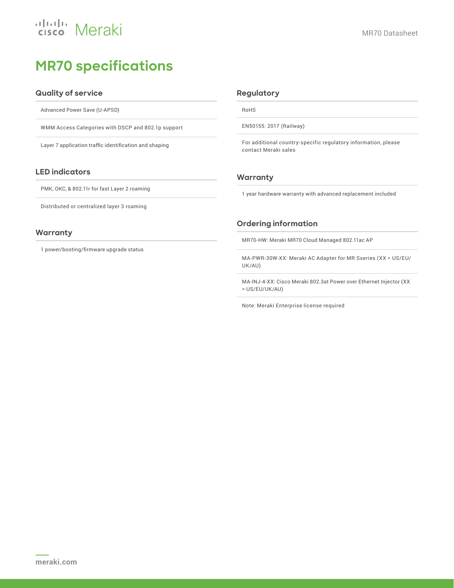## uludu Meraki

## **MR70 specifications**

#### **Quality of service**

Advanced Power Save (U-APSD)

WMM Access Categories with DSCP and 802.1p support

Layer 7 application traffic identification and shaping

#### **LED indicators**

PMK, OKC, & 802.11r for fast Layer 2 roaming

Distributed or centralized layer 3 roaming

#### **Warranty**

1 power/booting/firmware upgrade status

#### **Regulatory**

RoHS

EN50155: 2017 (Railway)

For additional country-specific regulatory information, please contact Meraki sales

#### **Warranty**

1 year hardware warranty with advanced replacement included

#### **Ordering information**

MR70-HW: Meraki MR70 Cloud Managed 802.11ac AP

MA-PWR-30W-XX: Meraki AC Adapter for MR Sseries (XX = US/EU/ UK/AU)

MA-INJ-4-XX: Cisco Meraki 802.3at Power over Ethernet Injector (XX = US/EU/UK/AU)

Note: Meraki Enterprise license required